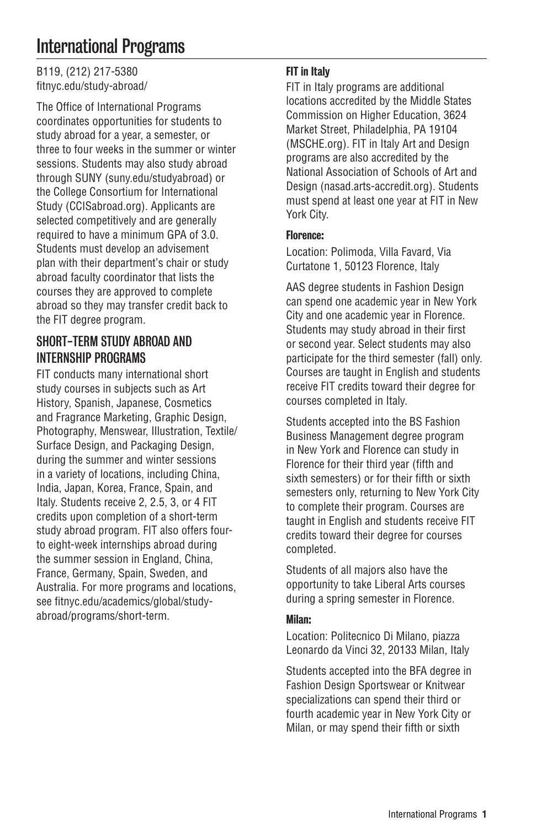# International Programs

B119, (212) 217-5380 [fitnyc.edu/study-abroad/](https://www.fitnyc.edu/academics/global/study-abroad/)

The Office of International Programs coordinates opportunities for students to study abroad for a year, a semester, or three to four weeks in the summer or winter sessions. Students may also study abroad through SUNY [\(suny.edu/studyabroad](https://www.suny.edu/studyabroad/)) or the College Consortium for International Study [\(CCISabroad.org](https://www.ccisabroad.org/)). Applicants are selected competitively and are generally required to have a minimum GPA of 3.0. Students must develop an advisement plan with their department's chair or study abroad faculty coordinator that lists the courses they are approved to complete abroad so they may transfer credit back to the FIT degree program.

# SHORT-TERM STUDY ABROAD AND INTERNSHIP PROGRAMS

FIT conducts many international short study courses in subjects such as Art History, Spanish, Japanese, Cosmetics and Fragrance Marketing, Graphic Design, Photography, Menswear, Illustration, Textile/ Surface Design, and Packaging Design, during the summer and winter sessions in a variety of locations, including China, India, Japan, Korea, France, Spain, and Italy. Students receive 2, 2.5, 3, or 4 FIT credits upon completion of a short-term study abroad program. FIT also offers fourto eight-week internships abroad during the summer session in England, China, France, Germany, Spain, Sweden, and Australia. For more programs and locations, see [fitnyc.edu/academics/global/study](https://www.fitnyc.edu/academics/global/study-abroad/programs/short-term/)[abroad/programs/short-term](https://www.fitnyc.edu/academics/global/study-abroad/programs/short-term/).

## FIT in Italy

FIT in Italy programs are additional locations accredited by the Middle States Commission on Higher Education, 3624 Market Street, Philadelphia, PA 19104 [\(MSCHE.org](http://www.msche.org/)). FIT in Italy Art and Design programs are also accredited by the National Association of Schools of Art and Design ([nasad.arts-accredit.org\)](https://nasad.arts-accredit.org/). Students must spend at least one year at FIT in New York City.

### Florence:

Location: Polimoda, Villa Favard, Via Curtatone 1, 50123 Florence, Italy

AAS degree students in Fashion Design can spend one academic year in New York City and one academic year in Florence. Students may study abroad in their first or second year. Select students may also participate for the third semester (fall) only. Courses are taught in English and students receive FIT credits toward their degree for courses completed in Italy.

Students accepted into the BS Fashion Business Management degree program in New York and Florence can study in Florence for their third year (fifth and sixth semesters) or for their fifth or sixth semesters only, returning to New York City to complete their program. Courses are taught in English and students receive FIT credits toward their degree for courses completed.

Students of all majors also have the opportunity to take Liberal Arts courses during a spring semester in Florence.

### Milan:

Location: Politecnico Di Milano, piazza Leonardo da Vinci 32, 20133 Milan, Italy

Students accepted into the BFA degree in Fashion Design Sportswear or Knitwear specializations can spend their third or fourth academic year in New York City or Milan, or may spend their fifth or sixth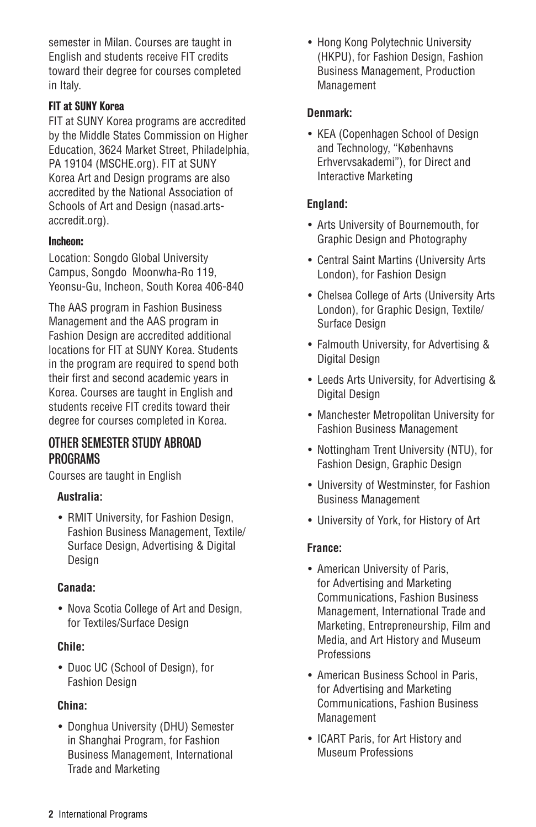semester in Milan. Courses are taught in English and students receive FIT credits toward their degree for courses completed in Italy.

## FIT at SUNY Korea

FIT at SUNY Korea programs are accredited by the Middle States Commission on Higher Education, 3624 Market Street, Philadelphia, PA 19104 [\(MSCHE.org](http://www.msche.org/)). FIT at SUNY Korea Art and Design programs are also accredited by the National Association of Schools of Art and Design [\(nasad.arts](https://nasad.arts-accredit.org/)[accredit.org\)](https://nasad.arts-accredit.org/).

## Incheon:

Location: Songdo Global University Campus, Songdo Moonwha-Ro 119, Yeonsu-Gu, Incheon, South Korea 406-840

The AAS program in Fashion Business Management and the AAS program in Fashion Design are accredited additional locations for FIT at SUNY Korea. Students in the program are required to spend both their first and second academic years in Korea. Courses are taught in English and students receive FIT credits toward their degree for courses completed in Korea.

## OTHER SEMESTER STUDY ABROAD PROGRAMS

Courses are taught in English

### **Australia:**

• RMIT University, for Fashion Design, Fashion Business Management, Textile/ Surface Design, Advertising & Digital Design

### **Canada:**

• Nova Scotia College of Art and Design, for Textiles/Surface Design

## **Chile:**

• Duoc UC (School of Design), for Fashion Design

## **China:**

• Donghua University (DHU) Semester in Shanghai Program, for Fashion Business Management, International Trade and Marketing

• Hong Kong Polytechnic University (HKPU), for Fashion Design, Fashion Business Management, Production Management

## **Denmark:**

• KEA (Copenhagen School of Design and Technology, "Københavns Erhvervsakademi"), for Direct and Interactive Marketing

## **England:**

- Arts University of Bournemouth, for Graphic Design and Photography
- Central Saint Martins (University Arts London), for Fashion Design
- Chelsea College of Arts (University Arts London), for Graphic Design, Textile/ Surface Design
- Falmouth University, for Advertising & Digital Design
- Leeds Arts University, for Advertising & Digital Design
- Manchester Metropolitan University for Fashion Business Management
- Nottingham Trent University (NTU), for Fashion Design, Graphic Design
- University of Westminster, for Fashion Business Management
- University of York, for History of Art

## **France:**

- American University of Paris, for Advertising and Marketing Communications, Fashion Business Management, International Trade and Marketing, Entrepreneurship, Film and Media, and Art History and Museum **Professions**
- American Business School in Paris, for Advertising and Marketing Communications, Fashion Business **Management**
- ICART Paris, for Art History and Museum Professions